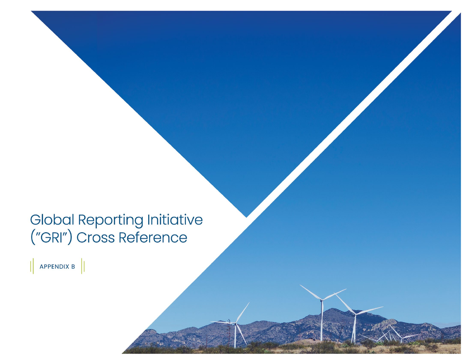## Global Reporting Initiative<br>("GRI") Cross Reference

 $\left\|$  APPENDIX B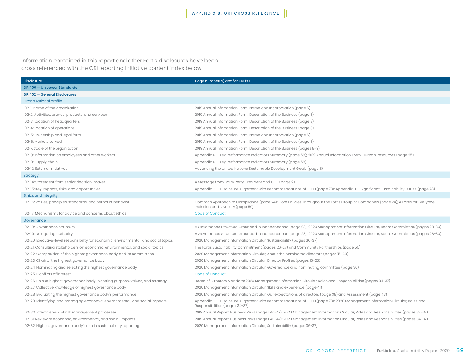Information contained in this report and other Fortis disclosures have been cross referenced with the GRI reporting initiative content index below.

| <b>Disclosure</b>                                                                     | Page number(s) and/or URL(s)                                                                                                                                            |
|---------------------------------------------------------------------------------------|-------------------------------------------------------------------------------------------------------------------------------------------------------------------------|
| GRI 100 - Universal Standards                                                         |                                                                                                                                                                         |
| GRI 102 - General Disclosures                                                         |                                                                                                                                                                         |
| Organizational profile                                                                |                                                                                                                                                                         |
| 102-1: Name of the organization                                                       | 2019 Annual Information Form, Name and Incorporation (page 6)                                                                                                           |
| 102-2: Activities, brands, products, and services                                     | 2019 Annual Information Form, Description of the Business (page 8)                                                                                                      |
| 102-3: Location of headquarters                                                       | 2019 Annual Information Form, Description of the Business (page 8)                                                                                                      |
| 102-4: Location of operations                                                         | 2019 Annual Information Form, Description of the Business (page 8)                                                                                                      |
| 102-5: Ownership and legal form                                                       | 2019 Annual Information Form, Name and Incorporation (page 6)                                                                                                           |
| 102-6: Markets served                                                                 | 2019 Annual Information Form, Description of the Business (page 8)                                                                                                      |
| 102-7: Scale of the organization                                                      | 2019 Annual Information Form, Description of the Business (pages 8-9)                                                                                                   |
| 102-8: Information on employees and other workers                                     | Appendix A – Key Performance Indicators Summary (page 58); 2019 Annual Information Form, Human Resources (page 25)                                                      |
| 102-9: Supply chain                                                                   | Appendix A – Key Performance Indicators Summary (page 58)                                                                                                               |
| 102-12: External initiatives                                                          | Advancing the United Nations Sustainable Development Goals (page 8)                                                                                                     |
| Strategy                                                                              |                                                                                                                                                                         |
| 102-14: Statement from senior decision-maker                                          | A Message from Barry Perry, President and CEO (page 2)                                                                                                                  |
| 102-15: Key impacts, risks, and opportunities                                         | Appendix C – Disclosure Alignment with Recommendations of TCFD (page 73); Appendix D – Significant Sustainability Issues (page 78)                                      |
| Ethics and integrity                                                                  |                                                                                                                                                                         |
| 102-16: Values, principles, standards, and norms of behavior                          | Common Approach to Compliance (page 24); Core Policies Throughout the Fortis Group of Companies (page 24); A Fortis for Everyone -<br>Inclusion and Diversity (page 50) |
| 102-17: Mechanisms for advice and concerns about ethics                               | Code of Conduct                                                                                                                                                         |
| Governance                                                                            |                                                                                                                                                                         |
| 102-18: Governance structure                                                          | A Governance Structure Grounded in Independence (page 23); 2020 Management Information Circular, Board Committees (pages 28-30)                                         |
| 102-19: Delegating authority                                                          | A Governance Structure Grounded in Independence (page 23); 2020 Management Information Circular, Board Committees (pages 28-30)                                         |
| 102-20: Executive-level responsibility for economic, environmental, and social topics | 2020 Management Information Circular, Sustainability (pages 36-37)                                                                                                      |
| 102-21: Consulting stakeholders on economic, environmental, and social topics         | The Fortis Sustainability Commitment (pages 26-27) and Community Partnerships (page 55)                                                                                 |
| 102-22: Composition of the highest governance body and its committees                 | 2020 Management Information Circular, About the nominated directors (pages 15-30)                                                                                       |
| 102-23: Chair of the highest governance body                                          | 2020 Management Information Circular, Director Profiles (pages 16-25)                                                                                                   |
| 102-24: Nominating and selecting the highest governance body                          | 2020 Management Information Circular, Governance and nominating committee (page 30)                                                                                     |
| 102-25: Conflicts of interest                                                         | <b>Code of Conduct</b>                                                                                                                                                  |
| 102-26: Role of highest governance body in setting purpose, values, and strategy      | Board of Directors Mandate; 2020 Management Information Circular, Roles and Responsibilities (pages 34-37)                                                              |
| 102-27: Collective knowledge of highest governance body                               | 2020 Management Information Circular, Skills and experience (page 41)                                                                                                   |
| 102-28: Evaluating the highest governance body's performance                          | 2020 Management Information Circular, Our expectations of directors (page 38) and Assessment (page 43)                                                                  |
| 102-29: Identifying and managing economic, environmental, and social impacts          | Appendix C – Disclosure Alignment with Recommendations of TCFD (page 73); 2020 Management Information Circular, Roles and<br>Responsibilities (pages 34-37)             |
| 102-30: Effectiveness of risk management processes                                    | 2019 Annual Report, Business Risks (pages 40-47); 2020 Management Information Circular, Roles and Responsibilities (pages 34-37)                                        |
| 102-31: Review of economic, environmental, and social impacts                         | 2019 Annual Report, Business Risks (pages 40-47); 2020 Management Information Circular, Roles and Responsibilities (pages 34-37)                                        |
| 102-32: Highest governance body's role in sustainability reporting                    | 2020 Management Information Circular, Sustainability (pages 36-37)                                                                                                      |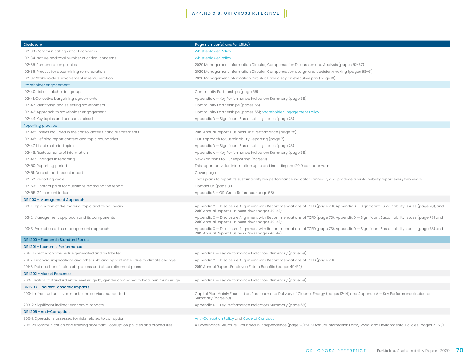## APPENDIX B: GRI CROSS REFERENCE

| <b>Disclosure</b>                                                                     | $\overline{\mathsf{Page}\ \mathsf{number}(\mathsf{s})\ \mathsf{and}/\mathsf{or}\ \mathsf{URL}(\mathsf{s})}$                                                                                 |
|---------------------------------------------------------------------------------------|---------------------------------------------------------------------------------------------------------------------------------------------------------------------------------------------|
| 102-33: Communicating critical concerns                                               | <b>Whistleblower Policy</b>                                                                                                                                                                 |
| 102-34: Nature and total number of critical concerns                                  | <b>Whistleblower Policy</b>                                                                                                                                                                 |
| 102-35: Remuneration policies                                                         | 2020 Management Information Circular, Compensation Discussion and Analysis (pages 52-57)                                                                                                    |
| 102-36: Process for determining remuneration                                          | 2020 Management Information Circular, Compensation design and decision-making (pages 58-61)                                                                                                 |
| 102-37: Stakeholders' involvement in remuneration                                     | 2020 Management Information Circular, Have a say on executive pay (page 13)                                                                                                                 |
| Stakeholder engagement                                                                |                                                                                                                                                                                             |
| 102-40: List of stakeholder groups                                                    | Community Partnerships (page 55)                                                                                                                                                            |
| 102-41: Collective bargaining agreements                                              | Appendix A - Key Performance Indicators Summary (page 58)                                                                                                                                   |
| 102-42: Identifying and selecting stakeholders                                        | Community Partnerships (pages 55)                                                                                                                                                           |
| 102-43: Approach to stakeholder engagement                                            | Community Partnerships (pages 55); Shareholder Engagement Policy                                                                                                                            |
| 102-44: Key topics and concerns raised                                                | Appendix $D -$ Significant Sustainability Issues (page 78)                                                                                                                                  |
| Reporting practice                                                                    |                                                                                                                                                                                             |
| 102-45: Entities included in the consolidated financial statements                    | 2019 Annual Report, Business Unit Performance (page 25)                                                                                                                                     |
| 102-46: Defining report content and topic boundaries                                  | Our Approach to Sustainability Reporting (page 7)                                                                                                                                           |
| 102-47: List of material topics                                                       | Appendix D - Significant Sustainability Issues (page 78)                                                                                                                                    |
| 102-48: Restatements of information                                                   | Appendix A - Key Performance Indicators Summary (page 58)                                                                                                                                   |
| 102-49: Changes in reporting                                                          | New Additions to Our Reporting (page 9)                                                                                                                                                     |
| 102-50: Reporting period                                                              | This report provides information up to and including the 2019 calendar year                                                                                                                 |
| 102-51: Date of most recent report                                                    | Cover page                                                                                                                                                                                  |
| 102-52: Reporting cycle                                                               | Fortis plans to report its sustainability key performance indicators annually and produce a sustainability report every two years.                                                          |
| 102-53: Contact point for questions regarding the report                              | Contact Us (page 81)                                                                                                                                                                        |
| 102-55: GRI content index                                                             | Appendix $B - GRI$ Cross Reference (page 68)                                                                                                                                                |
| GRI 103 - Management Approach                                                         |                                                                                                                                                                                             |
| 103-1: Explanation of the material topic and its boundary                             | Appendix C – Disclosure Alignment with Recommendations of TCFD (page 73); Appendix D – Significant Sustainability Issues (page 78); and<br>2019 Annual Report, Business Risks (pages 40-47) |
| 103-2: Management approach and its components                                         | Appendix C – Disclosure Alignment with Recommendations of TCFD (page 73); Appendix D – Significant Sustainability Issues (page 78) and<br>2019 Annual Report, Business Risks (pages 40-47)  |
| 103-3: Evaluation of the management approach                                          | Appendix C – Disclosure Alignment with Recommendations of TCFD (page 73); Appendix D – Significant Sustainability Issues (page 78) and<br>2019 Annual Report, Business Risks (pages 40-47)  |
| <b>GRI 200 - Economic Standard Series</b>                                             |                                                                                                                                                                                             |
| <b>GRI 201 - Economic Performance</b>                                                 |                                                                                                                                                                                             |
| 201-1: Direct economic value generated and distributed                                | Appendix A - Key Performance Indicators Summary (page 58)                                                                                                                                   |
| 201-2: Financial implications and other risks and opportunities due to climate change | Appendix $C -$ Disclosure Alignment with Recommendations of TCFD (page 73)                                                                                                                  |
| 201-3: Defined benefit plan obligations and other retirement plans                    | 2019 Annual Report, Employee Future Benefits (pages 49-50)                                                                                                                                  |
| <b>GRI 202 - Market Presence</b>                                                      |                                                                                                                                                                                             |
| 202-1: Ratios of standard entry level wage by gender compared to local minimum wage   | Appendix A - Key Performance Indicators Summary (page 58)                                                                                                                                   |
| <b>GRI 203 - Indirect Economic Impacts</b>                                            |                                                                                                                                                                                             |
| 203-1: Infrastructure investments and services supported                              | Capital Plan Mainly Focused on Resiliency and Delivery of Cleaner Energy (pages 12-14) and Appendix A – Key Performance Indicators<br>Summary (page 58)                                     |
| 203-2: Significant indirect economic impacts                                          | Appendix A - Key Performance Indicators Summary (page 58)                                                                                                                                   |
| GRI 205 - Anti-Corruption                                                             |                                                                                                                                                                                             |
| 205-1: Operations assessed for risks related to corruption                            | Anti-Corruption Policy and Code of Conduct                                                                                                                                                  |
| 205-2: Communication and training about anti-corruption policies and procedures       | A Governance Structure Grounded in Independence (page 23); 2019 Annual Information Form, Social and Environmental Policies (pages 27-28)                                                    |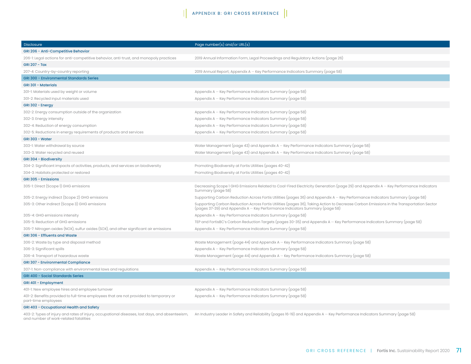| <b>Disclosure</b>                                                                                                                       | Page number(s) and/or URL(s)                                                                                                                                                                                           |
|-----------------------------------------------------------------------------------------------------------------------------------------|------------------------------------------------------------------------------------------------------------------------------------------------------------------------------------------------------------------------|
| GRI 206 - Anti-Competitive Behavior                                                                                                     |                                                                                                                                                                                                                        |
| 206-1: Legal actions for anti-competitive behavior, anti-trust, and monopoly practices                                                  | 2019 Annual Information Form, Legal Proceedings and Regulatory Actions (page 26)                                                                                                                                       |
| <b>GRI 207 - Tax</b>                                                                                                                    |                                                                                                                                                                                                                        |
| 207-4: Country-by-country reporting                                                                                                     | 2019 Annual Report; Appendix A – Key Performance Indicators Summary (page 58)                                                                                                                                          |
| <b>GRI 300 - Environmental Standards Series</b>                                                                                         |                                                                                                                                                                                                                        |
| <b>GRI 301 - Materials</b>                                                                                                              |                                                                                                                                                                                                                        |
| 301-1: Materials used by weight or volume                                                                                               | Appendix A - Key Performance Indicators Summary (page 58)                                                                                                                                                              |
| 301-2: Recycled input materials used                                                                                                    | Appendix A - Key Performance Indicators Summary (page 58)                                                                                                                                                              |
| GRI 302 - Energy                                                                                                                        |                                                                                                                                                                                                                        |
| 302-2: Energy consumption outside of the organization                                                                                   | Appendix A - Key Performance Indicators Summary (page 58)                                                                                                                                                              |
| 302-3: Energy intensity                                                                                                                 | Appendix A - Key Performance Indicators Summary (page 58)                                                                                                                                                              |
| 302-4: Reduction of energy consumption                                                                                                  | Appendix A - Key Performance Indicators Summary (page 58)                                                                                                                                                              |
| 302-5: Reductions in energy requirements of products and services                                                                       | Appendix A - Key Performance Indicators Summary (page 58)                                                                                                                                                              |
| <b>GRI 303 - Water</b>                                                                                                                  |                                                                                                                                                                                                                        |
| 303-1: Water withdrawal by source                                                                                                       | Water Management (page 43) and Appendix $A - Key$ Performance Indicators Summary (page 58)                                                                                                                             |
| 303-3: Water recycled and reused                                                                                                        | Water Management (page 43) and Appendix $A - Key$ Performance Indicators Summary (page 58)                                                                                                                             |
| GRI 304 - Biodiversity                                                                                                                  |                                                                                                                                                                                                                        |
| 304-2: Significant impacts of activities, products, and services on biodiversity                                                        | Promoting Biodiversity at Fortis Utilities (pages 40-42)                                                                                                                                                               |
| 304-3: Habitats protected or restored                                                                                                   | Promoting Biodiversity at Fortis Utilities (pages 40-42)                                                                                                                                                               |
| GRI 305 - Emissions                                                                                                                     |                                                                                                                                                                                                                        |
| 305-1: Direct (Scope 1) GHG emissions                                                                                                   | Decreasing Scope 1 GHG Emissions Related to Coal-Fired Electricity Generation (page 29) and Appendix A – Key Performance Indicators<br>Summary (page 58)                                                               |
| 305-2: Energy indirect (Scope 2) GHG emissions                                                                                          | Supporting Carbon Reduction Across Fortis Utilities (pages 36) and Appendix A – Key Performance Indicators Summary (page 58)                                                                                           |
| 305-3: Other indirect (Scope 3) GHG emissions                                                                                           | Supporting Carbon Reduction Across Fortis Utilities (pages 36), Taking Action to Decrease Carbon Emissions in the Transportation Sector<br>(pages 37-39) and Appendix A – Key Performance Indicators Summary (page 58) |
| 305-4: GHG emissions intensity                                                                                                          | Appendix A - Key Performance Indicators Summary (page 58)                                                                                                                                                              |
| 305-5: Reduction of GHG emissions                                                                                                       | TEP and FortisBC's Carbon Reduction Targets (pages 30-35) and Appendix A – Key Performance Indicators Summary (page 58)                                                                                                |
| 305-7: Nitrogen oxides (NOX), sulfur oxides (SOX), and other significant air emissions                                                  | Appendix A - Key Performance Indicators Summary (page 58)                                                                                                                                                              |
| <b>GRI 306 - Effluents and Waste</b>                                                                                                    |                                                                                                                                                                                                                        |
| 306-2: Waste by type and disposal method                                                                                                | Waste Management (page 44) and Appendix $A - Key$ Performance Indicators Summary (page 58)                                                                                                                             |
| 306-3: Significant spills                                                                                                               | Appendix A - Key Performance Indicators Summary (page 58)                                                                                                                                                              |
| 306-4: Transport of hazardous waste                                                                                                     | Waste Management (page 44) and Appendix $A - Key$ Performance Indicators Summary (page 58)                                                                                                                             |
| <b>GRI 307 - Environmental Compliance</b>                                                                                               |                                                                                                                                                                                                                        |
| 307-1: Non-compliance with environmental laws and regulations                                                                           | Appendix A – Key Performance Indicators Summary (page 58)                                                                                                                                                              |
| <b>GRI 400 - Social Standards Series</b>                                                                                                |                                                                                                                                                                                                                        |
| GRI 401 - Employment                                                                                                                    |                                                                                                                                                                                                                        |
| 401-1: New employee hires and employee turnover                                                                                         | Appendix A - Key Performance Indicators Summary (page 58)                                                                                                                                                              |
| 401-2: Benefits provided to full-time employees that are not provided to temporary or<br>part-time employees                            | Appendix A - Key Performance Indicators Summary (page 58)                                                                                                                                                              |
| GRI 403 - Occupational Health and Safety                                                                                                |                                                                                                                                                                                                                        |
| 403-2: Types of injury and rates of injury, occupational diseases, lost days, and absenteeism,<br>and number of work-related fatalities | An Industry Leader in Safety and Reliability (pages 16-19) and Appendix A – Key Performance Indicators Summary (page 58)                                                                                               |